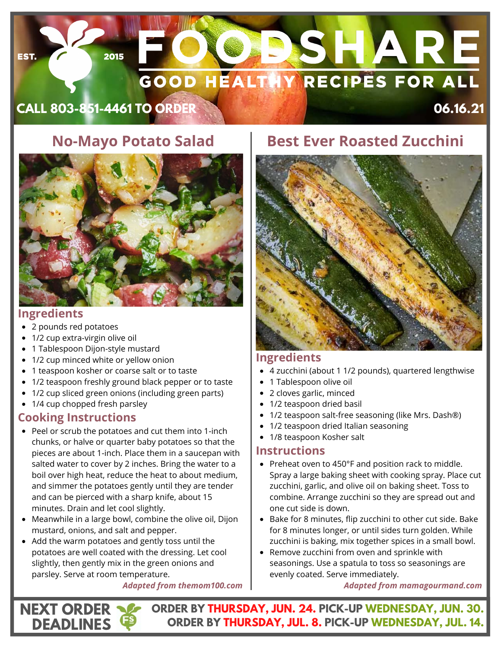# **DSHARE GOOD HEALTHY RECIPES FOR ALL**

**CALL 803-851-4461 TO ORDER 06.16.21**

2015

# **No-Mayo Potato Salad**



## **Ingredients**

EST.

- 2 pounds red potatoes
- 1/2 cup [extra-virgin olive oil](https://amzn.to/2XyeBGR)
- 1 Tablespoon Dijon-style mustard
- 1/2 cup minced white or yellow onion
- 1 teaspoon kosher or coarse salt or to taste
- 1/2 teaspoon freshly ground black pepper or to taste
- 1/2 cup sliced green onions (including green parts)
- 1/4 cup chopped fresh parsley

## **Cooking Instructions**

**NEXT ORDER DEADLINES**

- Peel or scrub the potatoes and cut them into 1-inch chunks, or halve or quarter baby potatoes so that the pieces are about 1-inch. Place them in a saucepan with salted water to cover by 2 inches. Bring the water to a boil over high heat, reduce the heat to about medium, and simmer the potatoes gently until they are tender and can be pierced with a sharp knife, about 15 minutes. Drain and let cool slightly.
- Meanwhile in a large bowl, combine the olive oil, Dijon mustard, onions, and salt and pepper.
- Add the warm potatoes and gently toss until the potatoes are well coated with the dressing. Let cool slightly, then gently mix in the green onions and parsley. Serve at room temperature.

#### *Adapted from themom100.com*

# **Best Ever Roasted Zucchini**



## **Ingredients**

- [4 zucchini \(about 1 1/2 pounds\), quartered lengthwise](https://amzn.to/3aEReD0)
- [1 Tablespoon olive oil](https://amzn.to/3aEReD0)
- [2 cloves garlic, minced](https://amzn.to/3aEReD0)
- [1/2 teaspoon dried basil](https://amzn.to/3aEReD0)
- [1/2 teaspoon salt](https://amzn.to/3aEReD0)-free seasoning (like Mrs. Dash®)
- [1/2 teaspoon dried Italian seasoning](https://amzn.to/3aEReD0)
- [1/8 teaspoon Kosher salt](https://amzn.to/3aEReD0)

## **Instructions**

- Preheat oven to 450°F and position rack to middle. Spray a large baking sheet with cooking spray. Place cut zucchini, garlic, and olive oil on baking sheet. Toss to combine. Arrange zucchini so they are spread out and one cut side is down.
- Bake for 8 minutes, flip zucchini to other cut side. Bake for 8 minutes longer, or until sides turn golden. While zucchini is baking, mix together spices in a small bowl.
- Remove zucchini from oven and sprinkle with seasonings. Use a spatula to toss so seasonings are evenly coated. Serve immediately.

*Adapted from mamagourmand.com*

**ORDER BY THURSDAY, JUN. 24. PICK-UP WEDNESDAY, JUN. 30. ORDER BY THURSDAY, JUL. 8. PICK-UP WEDNESDAY, JUL. 14.**